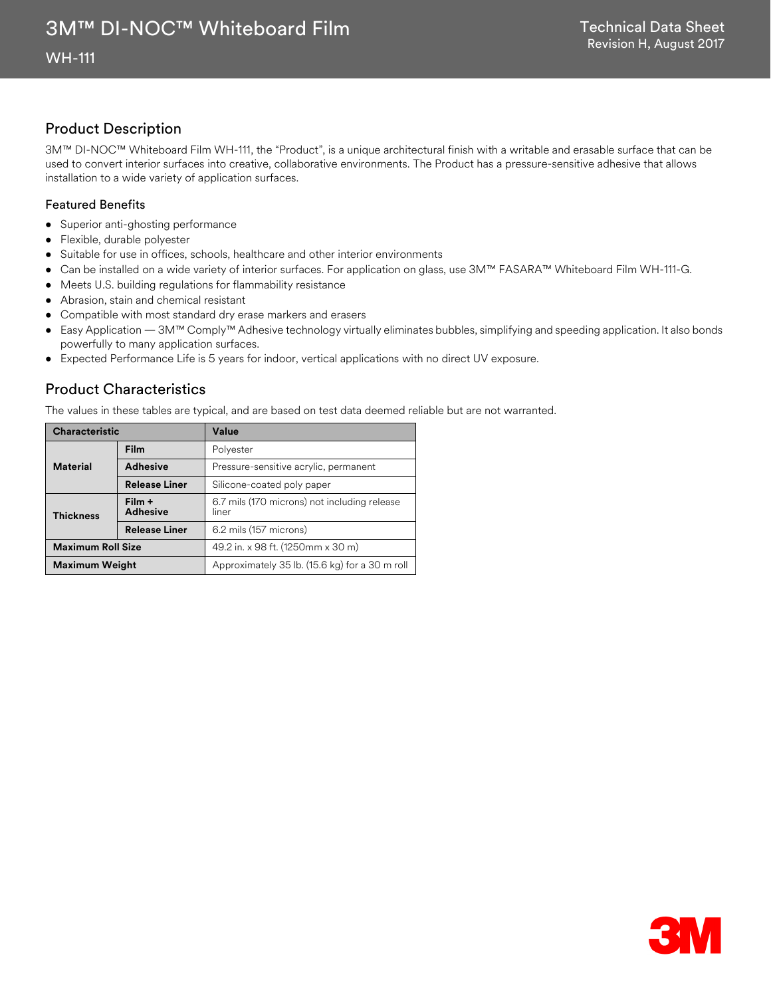# Product Description

3M™ DI-NOC™ Whiteboard Film WH-111, the "Product", is a unique architectural finish with a writable and erasable surface that can be used to convert interior surfaces into creative, collaborative environments. The Product has a pressure-sensitive adhesive that allows installation to a wide variety of application surfaces.

### Featured Benefits

- Superior anti-ghosting performance
- Flexible, durable polyester
- Suitable for use in offices, schools, healthcare and other interior environments
- Can be installed on a wide variety of interior surfaces. For application on glass, use 3M™ FASARA™ Whiteboard Film WH-111-G.
- Meets U.S. building regulations for flammability resistance
- Abrasion, stain and chemical resistant
- Compatible with most standard dry erase markers and erasers
- Easy Application 3M™ Comply™ Adhesive technology virtually eliminates bubbles, simplifying and speeding application. It also bonds powerfully to many application surfaces.
- Expected Performance Life is 5 years for indoor, vertical applications with no direct UV exposure.

# Product Characteristics

The values in these tables are typical, and are based on test data deemed reliable but are not warranted.

| <b>Characteristic</b>    |                           | Value                                                 |
|--------------------------|---------------------------|-------------------------------------------------------|
| <b>Material</b>          | Film                      | Polyester                                             |
|                          | <b>Adhesive</b>           | Pressure-sensitive acrylic, permanent                 |
|                          | <b>Release Liner</b>      | Silicone-coated poly paper                            |
| <b>Thickness</b>         | Film +<br><b>Adhesive</b> | 6.7 mils (170 microns) not including release<br>liner |
|                          | <b>Release Liner</b>      | 6.2 mils (157 microns)                                |
| <b>Maximum Roll Size</b> |                           | 49.2 in. x 98 ft. (1250mm x 30 m)                     |
| <b>Maximum Weight</b>    |                           | Approximately 35 lb. (15.6 kg) for a 30 m roll        |

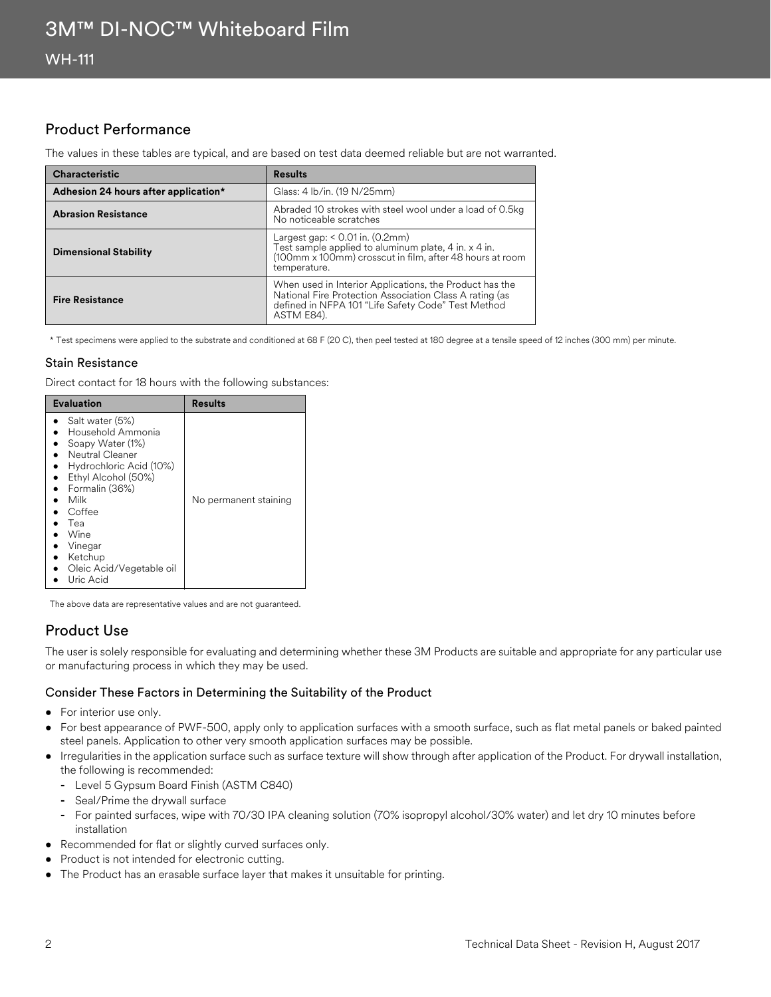# Product Performance

The values in these tables are typical, and are based on test data deemed reliable but are not warranted.

| <b>Characteristic</b>                | <b>Results</b>                                                                                                                                                                         |
|--------------------------------------|----------------------------------------------------------------------------------------------------------------------------------------------------------------------------------------|
| Adhesion 24 hours after application* | Glass: 4 lb/in. (19 N/25mm)                                                                                                                                                            |
| <b>Abrasion Resistance</b>           | Abraded 10 strokes with steel wool under a load of 0.5kg<br>No noticeable scratches                                                                                                    |
| <b>Dimensional Stability</b>         | Largest gap: $< 0.01$ in. (0.2mm)<br>Test sample applied to aluminum plate, 4 in. x 4 in.<br>(100mm x 100mm) crosscut in film, after 48 hours at room<br>temperature.                  |
| <b>Fire Resistance</b>               | When used in Interior Applications, the Product has the<br>National Fire Protection Association Class A rating (as<br>defined in NFPA 101 "Life Safety Code" Test Method<br>ASTM E84). |

\* Test specimens were applied to the substrate and conditioned at 68 F (20 C), then peel tested at 180 degree at a tensile speed of 12 inches (300 mm) per minute.

### Stain Resistance

Direct contact for 18 hours with the following substances:

| <b>Evaluation</b>                                                                                                                                                                                                                               | Results               |
|-------------------------------------------------------------------------------------------------------------------------------------------------------------------------------------------------------------------------------------------------|-----------------------|
| Salt water (5%)<br>Household Ammonia<br>Soapy Water (1%)<br>Neutral Cleaner<br>Hydrochloric Acid (10%)<br>Ethyl Alcohol (50%)<br>Formalin (36%)<br>Milk<br>Coffee<br>Tea<br>Wine<br>Vinegar<br>Ketchup<br>Oleic Acid/Vegetable oil<br>Uric Acid | No permanent staining |

The above data are representative values and are not guaranteed.

# Product Use

The user is solely responsible for evaluating and determining whether these 3M Products are suitable and appropriate for any particular use or manufacturing process in which they may be used.

### Consider These Factors in Determining the Suitability of the Product

- For interior use only.
- For best appearance of PWF-500, apply only to application surfaces with a smooth surface, such as flat metal panels or baked painted steel panels. Application to other very smooth application surfaces may be possible.
- Irregularities in the application surface such as surface texture will show through after application of the Product. For drywall installation, the following is recommended:
	- **-** Level 5 Gypsum Board Finish (ASTM C840)
	- **-** Seal/Prime the drywall surface
	- **-** For painted surfaces, wipe with 70/30 IPA cleaning solution (70% isopropyl alcohol/30% water) and let dry 10 minutes before installation
- Recommended for flat or slightly curved surfaces only.
- Product is not intended for electronic cutting.
- The Product has an erasable surface layer that makes it unsuitable for printing.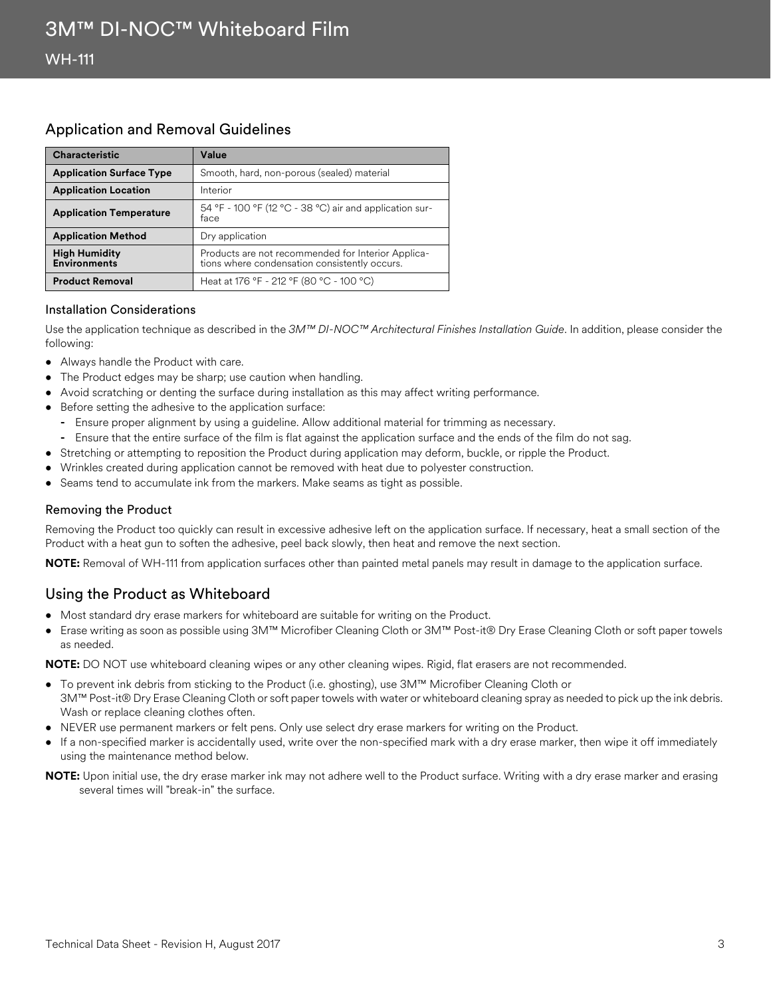### Application and Removal Guidelines

| <b>Characteristic</b>                       | Value                                                                                               |
|---------------------------------------------|-----------------------------------------------------------------------------------------------------|
| <b>Application Surface Type</b>             | Smooth, hard, non-porous (sealed) material                                                          |
| <b>Application Location</b>                 | Interior                                                                                            |
| <b>Application Temperature</b>              | 54 °F - 100 °F (12 °C - 38 °C) air and application sur-<br>face                                     |
| <b>Application Method</b>                   | Dry application                                                                                     |
| <b>High Humidity</b><br><b>Environments</b> | Products are not recommended for Interior Applica-<br>tions where condensation consistently occurs. |
| <b>Product Removal</b>                      | Heat at 176 °F - 212 °F (80 °C - 100 °C)                                                            |

### Installation Considerations

Use the application technique as described in the *3M™ DI-NOC™ Architectural Finishes Installation Guide*. In addition, please consider the following:

- Always handle the Product with care.
- The Product edges may be sharp; use caution when handling.
- Avoid scratching or denting the surface during installation as this may affect writing performance.
- Before setting the adhesive to the application surface:
	- **-** Ensure proper alignment by using a guideline. Allow additional material for trimming as necessary.
	- **-** Ensure that the entire surface of the film is flat against the application surface and the ends of the film do not sag.
- Stretching or attempting to reposition the Product during application may deform, buckle, or ripple the Product.
- Wrinkles created during application cannot be removed with heat due to polyester construction.
- Seams tend to accumulate ink from the markers. Make seams as tight as possible.

### Removing the Product

Removing the Product too quickly can result in excessive adhesive left on the application surface. If necessary, heat a small section of the Product with a heat gun to soften the adhesive, peel back slowly, then heat and remove the next section.

**NOTE:** Removal of WH-111 from application surfaces other than painted metal panels may result in damage to the application surface.

# Using the Product as Whiteboard

- Most standard dry erase markers for whiteboard are suitable for writing on the Product.
- Erase writing as soon as possible using 3M™ Microfiber Cleaning Cloth or 3M™ Post-it® Dry Erase Cleaning Cloth or soft paper towels as needed.

**NOTE:** DO NOT use whiteboard cleaning wipes or any other cleaning wipes. Rigid, flat erasers are not recommended.

- To prevent ink debris from sticking to the Product (i.e. ghosting), use 3M™ Microfiber Cleaning Cloth or 3M™ Post-it® Dry Erase Cleaning Cloth or soft paper towels with water or whiteboard cleaning spray as needed to pick up the ink debris. Wash or replace cleaning clothes often.
- NEVER use permanent markers or felt pens. Only use select dry erase markers for writing on the Product.
- If a non-specified marker is accidentally used, write over the non-specified mark with a dry erase marker, then wipe it off immediately using the maintenance method below.

**NOTE:** Upon initial use, the dry erase marker ink may not adhere well to the Product surface. Writing with a dry erase marker and erasing several times will "break-in" the surface.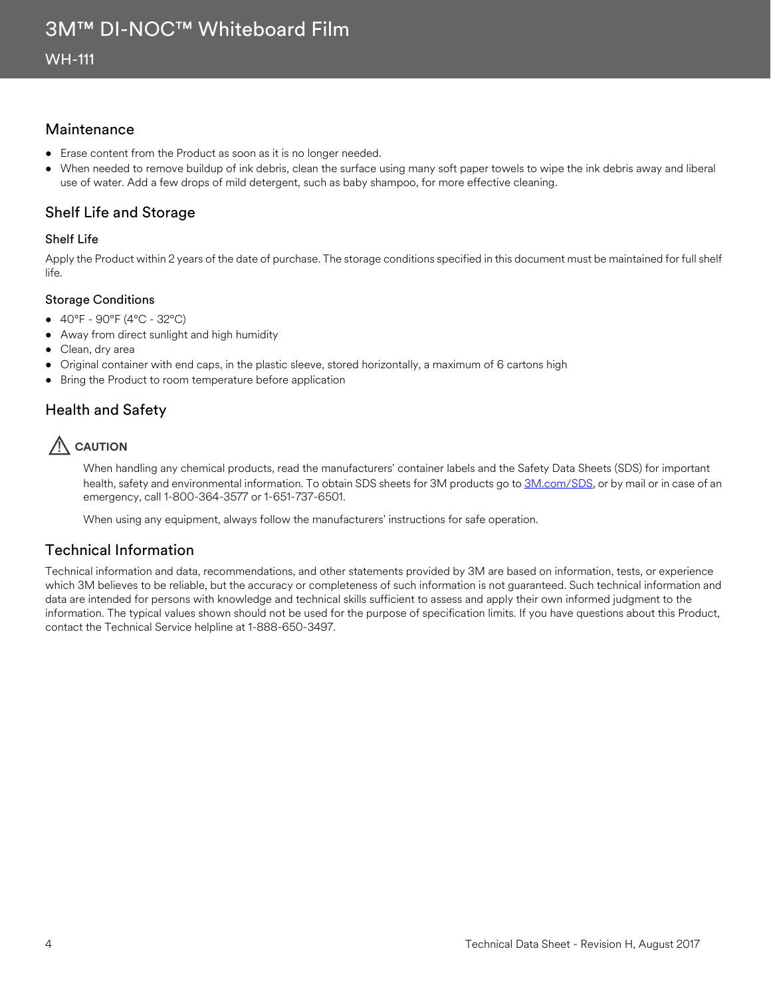### Maintenance

- Erase content from the Product as soon as it is no longer needed.
- When needed to remove buildup of ink debris, clean the surface using many soft paper towels to wipe the ink debris away and liberal use of water. Add a few drops of mild detergent, such as baby shampoo, for more effective cleaning.

## Shelf Life and Storage

### Shelf Life

Apply the Product within 2 years of the date of purchase. The storage conditions specified in this document must be maintained for full shelf life.

### Storage Conditions

- 40°F 90°F (4°C 32°C)
- Away from direct sunlight and high humidity
- Clean, dry area
- Original container with end caps, in the plastic sleeve, stored horizontally, a maximum of 6 cartons high
- Bring the Product to room temperature before application

# Health and Safety

# **AUTION**

When handling any chemical products, read the manufacturers' container labels and the Safety Data Sheets (SDS) for important health, safety and environmental information. To obtain SDS sheets for 3M products go to [3M.com/SDS,](http://www.3m.com/sds) or by mail or in case of an emergency, call 1-800-364-3577 or 1-651-737-6501.

When using any equipment, always follow the manufacturers' instructions for safe operation.

# Technical Information

Technical information and data, recommendations, and other statements provided by 3M are based on information, tests, or experience which 3M believes to be reliable, but the accuracy or completeness of such information is not guaranteed. Such technical information and data are intended for persons with knowledge and technical skills sufficient to assess and apply their own informed judgment to the information. The typical values shown should not be used for the purpose of specification limits. If you have questions about this Product, contact the Technical Service helpline at 1-888-650-3497.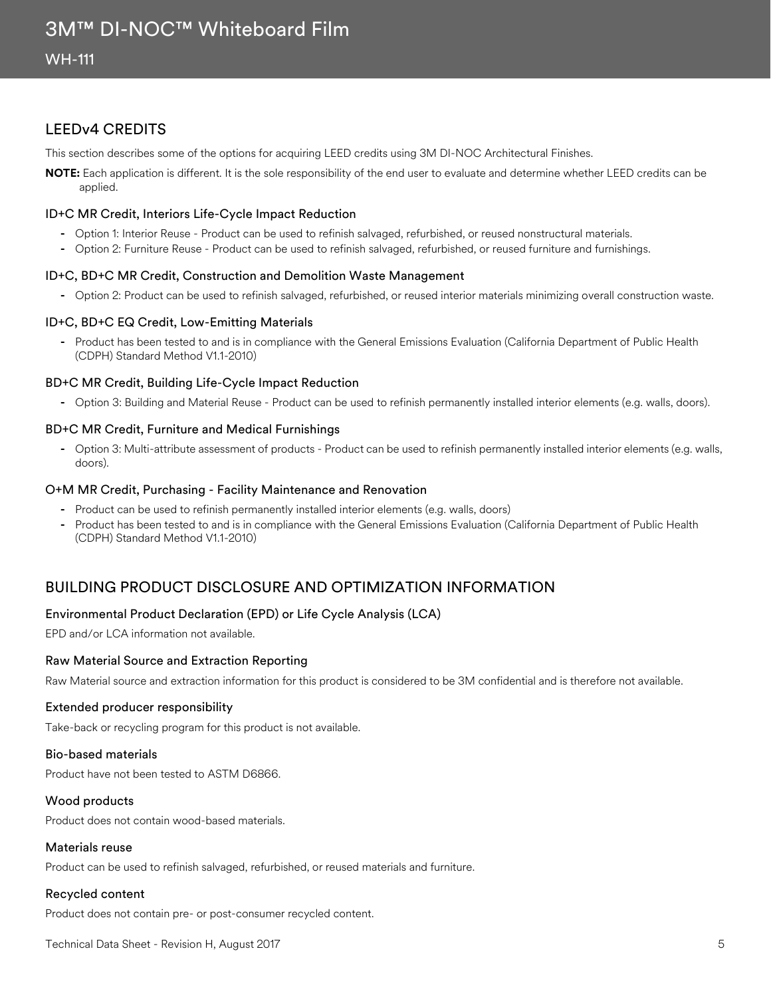### LEEDv4 CREDITS

This section describes some of the options for acquiring LEED credits using 3M DI-NOC Architectural Finishes.

**NOTE:** Each application is different. It is the sole responsibility of the end user to evaluate and determine whether LEED credits can be applied.

### ID+C MR Credit, Interiors Life-Cycle Impact Reduction

- **-** Option 1: Interior Reuse Product can be used to refinish salvaged, refurbished, or reused nonstructural materials.
- **-** Option 2: Furniture Reuse Product can be used to refinish salvaged, refurbished, or reused furniture and furnishings.

### ID+C, BD+C MR Credit, Construction and Demolition Waste Management

**-** Option 2: Product can be used to refinish salvaged, refurbished, or reused interior materials minimizing overall construction waste.

### ID+C, BD+C EQ Credit, Low-Emitting Materials

**-** Product has been tested to and is in compliance with the General Emissions Evaluation (California Department of Public Health (CDPH) Standard Method V1.1-2010)

### BD+C MR Credit, Building Life-Cycle Impact Reduction

**-** Option 3: Building and Material Reuse - Product can be used to refinish permanently installed interior elements (e.g. walls, doors).

### BD+C MR Credit, Furniture and Medical Furnishings

**-** Option 3: Multi-attribute assessment of products - Product can be used to refinish permanently installed interior elements (e.g. walls, doors).

### O+M MR Credit, Purchasing - Facility Maintenance and Renovation

- **-** Product can be used to refinish permanently installed interior elements (e.g. walls, doors)
- **-** Product has been tested to and is in compliance with the General Emissions Evaluation (California Department of Public Health (CDPH) Standard Method V1.1-2010)

# BUILDING PRODUCT DISCLOSURE AND OPTIMIZATION INFORMATION

### Environmental Product Declaration (EPD) or Life Cycle Analysis (LCA)

EPD and/or LCA information not available.

### Raw Material Source and Extraction Reporting

Raw Material source and extraction information for this product is considered to be 3M confidential and is therefore not available.

### Extended producer responsibility

Take-back or recycling program for this product is not available.

### Bio-based materials

Product have not been tested to ASTM D6866.

### Wood products

Product does not contain wood-based materials.

#### Materials reuse

Product can be used to refinish salvaged, refurbished, or reused materials and furniture.

### Recycled content

Product does not contain pre- or post-consumer recycled content.

Technical Data Sheet - Revision H, August 2017 5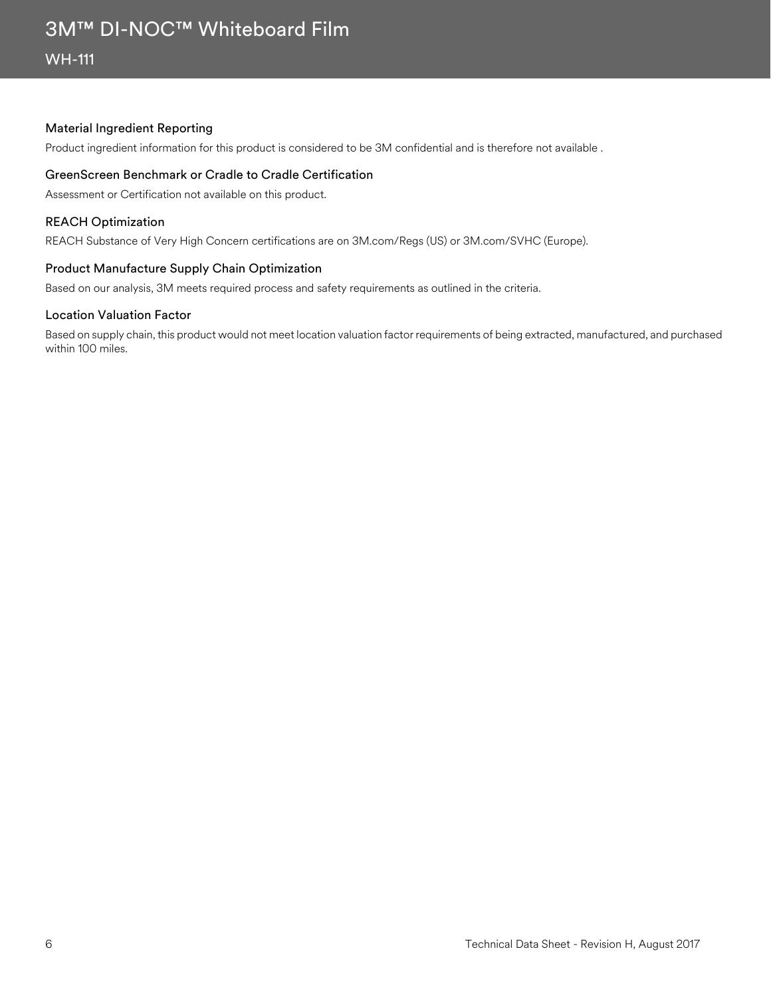### Material Ingredient Reporting

Product ingredient information for this product is considered to be 3M confidential and is therefore not available .

### GreenScreen Benchmark or Cradle to Cradle Certification

Assessment or Certification not available on this product.

### REACH Optimization

REACH Substance of Very High Concern certifications are on 3M.com/Regs (US) or 3M.com/SVHC (Europe).

### Product Manufacture Supply Chain Optimization

Based on our analysis, 3M meets required process and safety requirements as outlined in the criteria.

### Location Valuation Factor

Based on supply chain, this product would not meet location valuation factor requirements of being extracted, manufactured, and purchased within 100 miles.